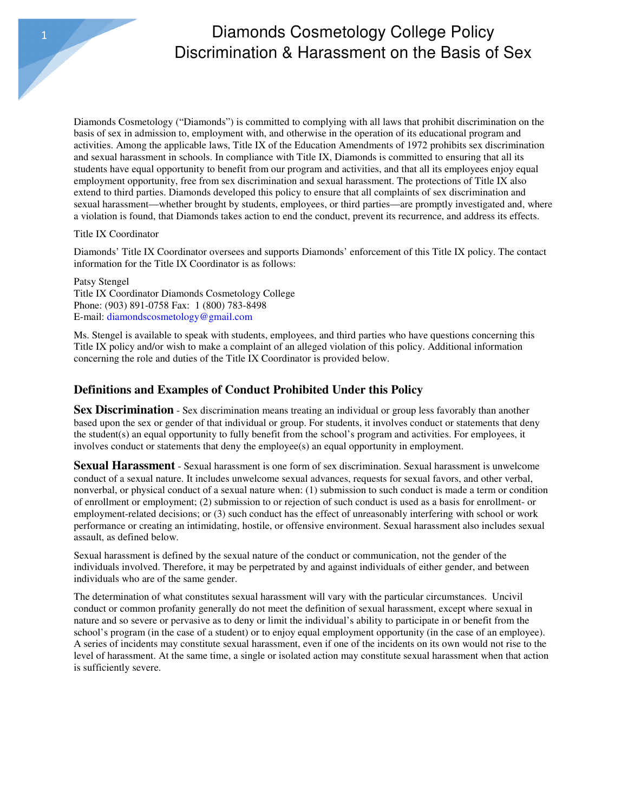## Diamonds Cosmetology College Policy Discrimination & Harassment on the Basis of Sex

Diamonds Cosmetology ("Diamonds") is committed to complying with all laws that prohibit discrimination on the basis of sex in admission to, employment with, and otherwise in the operation of its educational program and activities. Among the applicable laws, Title IX of the Education Amendments of 1972 prohibits sex discrimination and sexual harassment in schools. In compliance with Title IX, Diamonds is committed to ensuring that all its students have equal opportunity to benefit from our program and activities, and that all its employees enjoy equal employment opportunity, free from sex discrimination and sexual harassment. The protections of Title IX also extend to third parties. Diamonds developed this policy to ensure that all complaints of sex discrimination and sexual harassment—whether brought by students, employees, or third parties—are promptly investigated and, where a violation is found, that Diamonds takes action to end the conduct, prevent its recurrence, and address its effects.

#### Title IX Coordinator

**Diamonds** 

Diamonds' Title IX Coordinator oversees and supports Diamonds' enforcement of this Title IX policy. The contact information for the Title IX Coordinator is as follows:

Patsy Stengel Title IX Coordinator Diamonds Cosmetology College Phone: (903) 891-0758 Fax: 1 (800) 783-8498 E-mail: diamondscosmetology@gmail.com

Ms. Stengel is available to speak with students, employees, and third parties who have questions concerning this Title IX policy and/or wish to make a complaint of an alleged violation of this policy. Additional information concerning the role and duties of the Title IX Coordinator is provided below.

### **Definitions and Examples of Conduct Prohibited Under this Policy**

**Sex Discrimination** - Sex discrimination means treating an individual or group less favorably than another based upon the sex or gender of that individual or group. For students, it involves conduct or statements that deny the student(s) an equal opportunity to fully benefit from the school's program and activities. For employees, it involves conduct or statements that deny the employee(s) an equal opportunity in employment.

**Sexual Harassment** - Sexual harassment is one form of sex discrimination. Sexual harassment is unwelcome conduct of a sexual nature. It includes unwelcome sexual advances, requests for sexual favors, and other verbal, nonverbal, or physical conduct of a sexual nature when: (1) submission to such conduct is made a term or condition of enrollment or employment; (2) submission to or rejection of such conduct is used as a basis for enrollment- or employment-related decisions; or (3) such conduct has the effect of unreasonably interfering with school or work performance or creating an intimidating, hostile, or offensive environment. Sexual harassment also includes sexual assault, as defined below.

Sexual harassment is defined by the sexual nature of the conduct or communication, not the gender of the individuals involved. Therefore, it may be perpetrated by and against individuals of either gender, and between individuals who are of the same gender.

The determination of what constitutes sexual harassment will vary with the particular circumstances. Uncivil conduct or common profanity generally do not meet the definition of sexual harassment, except where sexual in nature and so severe or pervasive as to deny or limit the individual's ability to participate in or benefit from the school's program (in the case of a student) or to enjoy equal employment opportunity (in the case of an employee). A series of incidents may constitute sexual harassment, even if one of the incidents on its own would not rise to the level of harassment. At the same time, a single or isolated action may constitute sexual harassment when that action is sufficiently severe.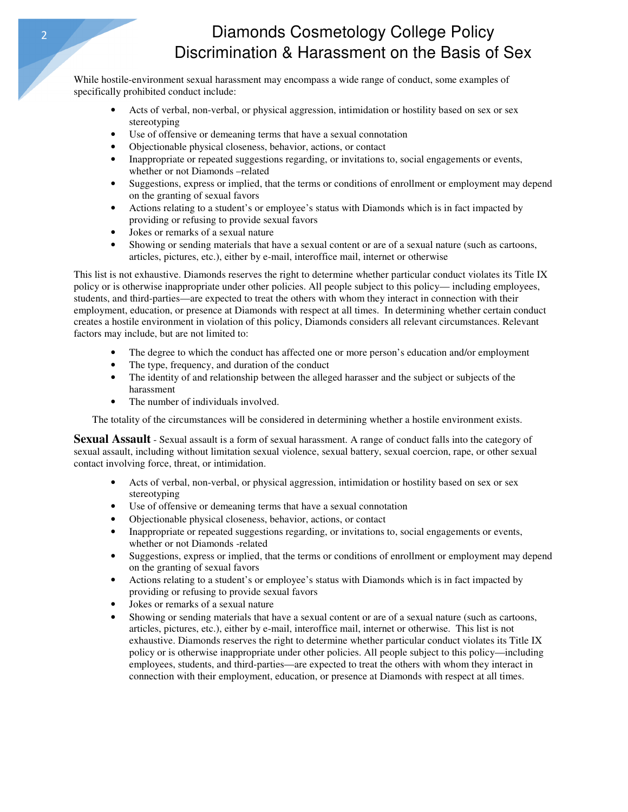## 2 Diamonds Cosmetology College Policy Discrimination & Harassment on the Basis of Sex

While hostile-environment sexual harassment may encompass a wide range of conduct, some examples of specifically prohibited conduct include:

- Acts of verbal, non-verbal, or physical aggression, intimidation or hostility based on sex or sex stereotyping
- Use of offensive or demeaning terms that have a sexual connotation
- Objectionable physical closeness, behavior, actions, or contact
- Inappropriate or repeated suggestions regarding, or invitations to, social engagements or events, whether or not Diamonds –related
- Suggestions, express or implied, that the terms or conditions of enrollment or employment may depend on the granting of sexual favors
- Actions relating to a student's or employee's status with Diamonds which is in fact impacted by providing or refusing to provide sexual favors
- Jokes or remarks of a sexual nature
- Showing or sending materials that have a sexual content or are of a sexual nature (such as cartoons, articles, pictures, etc.), either by e-mail, interoffice mail, internet or otherwise

This list is not exhaustive. Diamonds reserves the right to determine whether particular conduct violates its Title IX policy or is otherwise inappropriate under other policies. All people subject to this policy— including employees, students, and third-parties—are expected to treat the others with whom they interact in connection with their employment, education, or presence at Diamonds with respect at all times. In determining whether certain conduct creates a hostile environment in violation of this policy, Diamonds considers all relevant circumstances. Relevant factors may include, but are not limited to:

- The degree to which the conduct has affected one or more person's education and/or employment
- The type, frequency, and duration of the conduct
- The identity of and relationship between the alleged harasser and the subject or subjects of the harassment
- The number of individuals involved.

The totality of the circumstances will be considered in determining whether a hostile environment exists.

**Sexual Assault** - Sexual assault is a form of sexual harassment. A range of conduct falls into the category of sexual assault, including without limitation sexual violence, sexual battery, sexual coercion, rape, or other sexual contact involving force, threat, or intimidation.

- Acts of verbal, non-verbal, or physical aggression, intimidation or hostility based on sex or sex stereotyping
- Use of offensive or demeaning terms that have a sexual connotation
- Objectionable physical closeness, behavior, actions, or contact
- Inappropriate or repeated suggestions regarding, or invitations to, social engagements or events, whether or not Diamonds -related
- Suggestions, express or implied, that the terms or conditions of enrollment or employment may depend on the granting of sexual favors
- Actions relating to a student's or employee's status with Diamonds which is in fact impacted by providing or refusing to provide sexual favors
- Jokes or remarks of a sexual nature
- Showing or sending materials that have a sexual content or are of a sexual nature (such as cartoons, articles, pictures, etc.), either by e-mail, interoffice mail, internet or otherwise. This list is not exhaustive. Diamonds reserves the right to determine whether particular conduct violates its Title IX policy or is otherwise inappropriate under other policies. All people subject to this policy—including employees, students, and third-parties—are expected to treat the others with whom they interact in connection with their employment, education, or presence at Diamonds with respect at all times.

**Diamonds**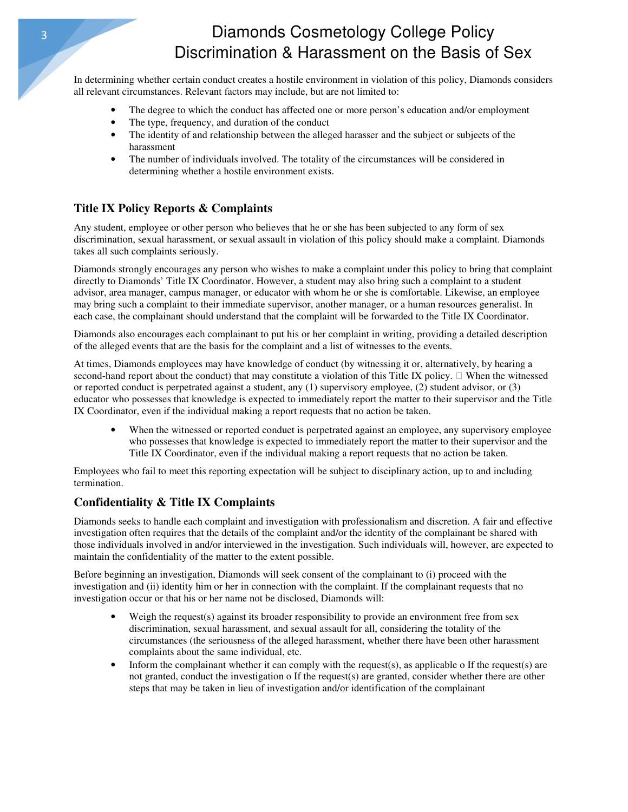# 3 Diamonds Cosmetology College Policy Discrimination & Harassment on the Basis of Sex

In determining whether certain conduct creates a hostile environment in violation of this policy, Diamonds considers all relevant circumstances. Relevant factors may include, but are not limited to:

- The degree to which the conduct has affected one or more person's education and/or employment
- The type, frequency, and duration of the conduct
- The identity of and relationship between the alleged harasser and the subject or subjects of the harassment
- The number of individuals involved. The totality of the circumstances will be considered in determining whether a hostile environment exists.

### **Title IX Policy Reports & Complaints**

Any student, employee or other person who believes that he or she has been subjected to any form of sex discrimination, sexual harassment, or sexual assault in violation of this policy should make a complaint. Diamonds takes all such complaints seriously.

Diamonds strongly encourages any person who wishes to make a complaint under this policy to bring that complaint directly to Diamonds' Title IX Coordinator. However, a student may also bring such a complaint to a student advisor, area manager, campus manager, or educator with whom he or she is comfortable. Likewise, an employee may bring such a complaint to their immediate supervisor, another manager, or a human resources generalist. In each case, the complainant should understand that the complaint will be forwarded to the Title IX Coordinator.

Diamonds also encourages each complainant to put his or her complaint in writing, providing a detailed description of the alleged events that are the basis for the complaint and a list of witnesses to the events.

At times, Diamonds employees may have knowledge of conduct (by witnessing it or, alternatively, by hearing a second-hand report about the conduct) that may constitute a violation of this Title IX policy. When the witnessed or reported conduct is perpetrated against a student, any (1) supervisory employee, (2) student advisor, or (3) educator who possesses that knowledge is expected to immediately report the matter to their supervisor and the Title IX Coordinator, even if the individual making a report requests that no action be taken.

• When the witnessed or reported conduct is perpetrated against an employee, any supervisory employee who possesses that knowledge is expected to immediately report the matter to their supervisor and the Title IX Coordinator, even if the individual making a report requests that no action be taken.

Employees who fail to meet this reporting expectation will be subject to disciplinary action, up to and including termination.

### **Confidentiality & Title IX Complaints**

Diamonds seeks to handle each complaint and investigation with professionalism and discretion. A fair and effective investigation often requires that the details of the complaint and/or the identity of the complainant be shared with those individuals involved in and/or interviewed in the investigation. Such individuals will, however, are expected to maintain the confidentiality of the matter to the extent possible.

Before beginning an investigation, Diamonds will seek consent of the complainant to (i) proceed with the investigation and (ii) identity him or her in connection with the complaint. If the complainant requests that no investigation occur or that his or her name not be disclosed, Diamonds will:

- Weigh the request(s) against its broader responsibility to provide an environment free from sex discrimination, sexual harassment, and sexual assault for all, considering the totality of the circumstances (the seriousness of the alleged harassment, whether there have been other harassment complaints about the same individual, etc.
- Inform the complainant whether it can comply with the request(s), as applicable o If the request(s) are not granted, conduct the investigation o If the request(s) are granted, consider whether there are other steps that may be taken in lieu of investigation and/or identification of the complainant

**Diamonds**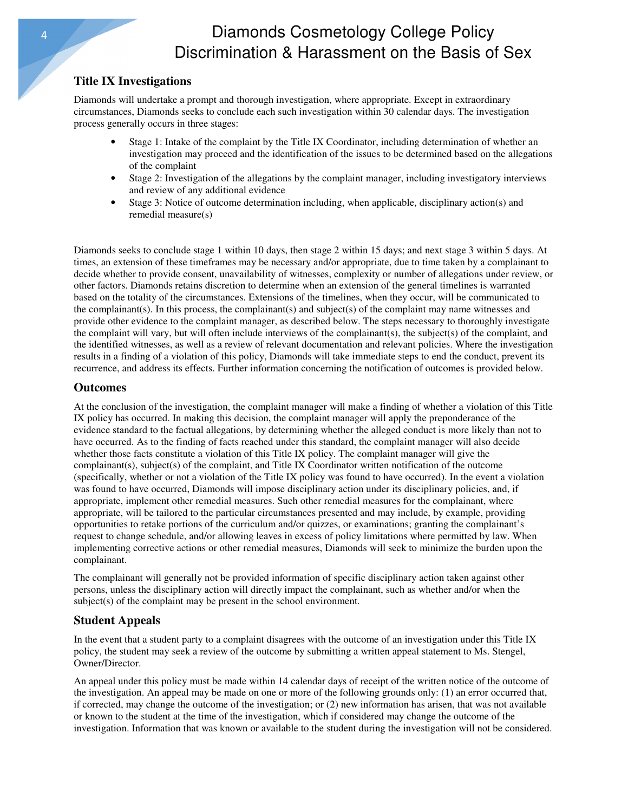## 4 Diamonds Cosmetology College Policy Discrimination & Harassment on the Basis of Sex

### **Title IX Investigations**

**Diamonds** 

Diamonds will undertake a prompt and thorough investigation, where appropriate. Except in extraordinary circumstances, Diamonds seeks to conclude each such investigation within 30 calendar days. The investigation process generally occurs in three stages:

- Stage 1: Intake of the complaint by the Title IX Coordinator, including determination of whether an investigation may proceed and the identification of the issues to be determined based on the allegations of the complaint
- Stage 2: Investigation of the allegations by the complaint manager, including investigatory interviews and review of any additional evidence
- Stage 3: Notice of outcome determination including, when applicable, disciplinary action(s) and remedial measure(s)

Diamonds seeks to conclude stage 1 within 10 days, then stage 2 within 15 days; and next stage 3 within 5 days. At times, an extension of these timeframes may be necessary and/or appropriate, due to time taken by a complainant to decide whether to provide consent, unavailability of witnesses, complexity or number of allegations under review, or other factors. Diamonds retains discretion to determine when an extension of the general timelines is warranted based on the totality of the circumstances. Extensions of the timelines, when they occur, will be communicated to the complainant(s). In this process, the complainant(s) and subject(s) of the complaint may name witnesses and provide other evidence to the complaint manager, as described below. The steps necessary to thoroughly investigate the complaint will vary, but will often include interviews of the complainant(s), the subject(s) of the complaint, and the identified witnesses, as well as a review of relevant documentation and relevant policies. Where the investigation results in a finding of a violation of this policy, Diamonds will take immediate steps to end the conduct, prevent its recurrence, and address its effects. Further information concerning the notification of outcomes is provided below.

#### **Outcomes**

At the conclusion of the investigation, the complaint manager will make a finding of whether a violation of this Title IX policy has occurred. In making this decision, the complaint manager will apply the preponderance of the evidence standard to the factual allegations, by determining whether the alleged conduct is more likely than not to have occurred. As to the finding of facts reached under this standard, the complaint manager will also decide whether those facts constitute a violation of this Title IX policy. The complaint manager will give the complainant(s), subject(s) of the complaint, and Title IX Coordinator written notification of the outcome (specifically, whether or not a violation of the Title IX policy was found to have occurred). In the event a violation was found to have occurred, Diamonds will impose disciplinary action under its disciplinary policies, and, if appropriate, implement other remedial measures. Such other remedial measures for the complainant, where appropriate, will be tailored to the particular circumstances presented and may include, by example, providing opportunities to retake portions of the curriculum and/or quizzes, or examinations; granting the complainant's request to change schedule, and/or allowing leaves in excess of policy limitations where permitted by law. When implementing corrective actions or other remedial measures, Diamonds will seek to minimize the burden upon the complainant.

The complainant will generally not be provided information of specific disciplinary action taken against other persons, unless the disciplinary action will directly impact the complainant, such as whether and/or when the subject(s) of the complaint may be present in the school environment.

### **Student Appeals**

In the event that a student party to a complaint disagrees with the outcome of an investigation under this Title IX policy, the student may seek a review of the outcome by submitting a written appeal statement to Ms. Stengel, Owner/Director.

An appeal under this policy must be made within 14 calendar days of receipt of the written notice of the outcome of the investigation. An appeal may be made on one or more of the following grounds only: (1) an error occurred that, if corrected, may change the outcome of the investigation; or (2) new information has arisen, that was not available or known to the student at the time of the investigation, which if considered may change the outcome of the investigation. Information that was known or available to the student during the investigation will not be considered.